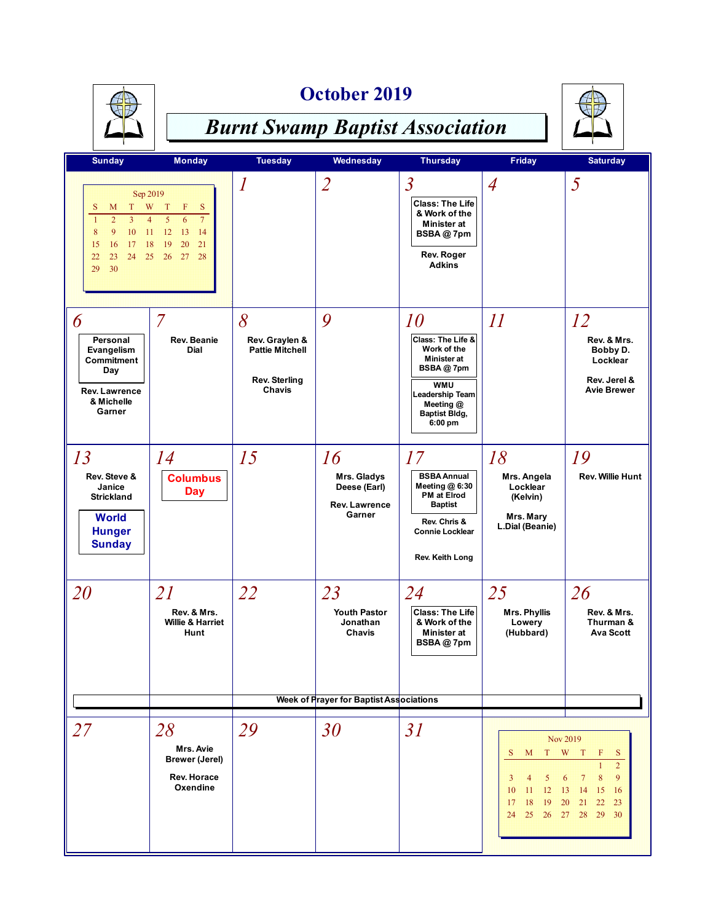

#### **October 2019**



| <b>Sunday</b>                                                                                                                                                                       | <b>Monday</b>                                                                                                        | <b>Tuesday</b>                                                                  | Wednesday                                                                                                | <b>Thursday</b>                                                                                                                                                  | <b>Friday</b>                                                                                             | <b>Saturday</b>                                                                                                                                     |
|-------------------------------------------------------------------------------------------------------------------------------------------------------------------------------------|----------------------------------------------------------------------------------------------------------------------|---------------------------------------------------------------------------------|----------------------------------------------------------------------------------------------------------|------------------------------------------------------------------------------------------------------------------------------------------------------------------|-----------------------------------------------------------------------------------------------------------|-----------------------------------------------------------------------------------------------------------------------------------------------------|
| Sep 2019<br>${\bf S}$<br>T<br>M<br>$\mathbf{1}$<br>$\overline{2}$<br>$\overline{3}$<br>10 <sup>10</sup><br>8<br>9<br>11<br>17<br>18<br>15<br>16<br>22<br>23<br>24<br>25<br>29<br>30 | W<br>F<br>S<br>П<br>5<br>$\overline{7}$<br>$\overline{4}$<br>6<br>12<br>13<br>14<br>20<br>19<br>21<br>26<br>27<br>28 | 1                                                                               | $\overline{2}$                                                                                           | $\overline{3}$<br><b>Class: The Life</b><br>& Work of the<br><b>Minister at</b><br>BSBA@7pm<br>Rev. Roger<br><b>Adkins</b>                                       | $\overline{A}$                                                                                            | 5                                                                                                                                                   |
| 6<br>Personal<br>Evangelism<br>Commitment<br>Day<br><b>Rev. Lawrence</b><br>& Michelle<br>Garner                                                                                    | $\overline{7}$<br><b>Rev. Beanie</b><br><b>Dial</b>                                                                  | 8<br>Rev. Graylen &<br><b>Pattie Mitchell</b><br><b>Rev. Sterling</b><br>Chavis | 9                                                                                                        | <i>10</i><br>Class: The Life &<br>Work of the<br><b>Minister</b> at<br>BSBA@7pm<br><b>WMU</b><br>Leadership Team<br>Meeting @<br><b>Baptist Bldg,</b><br>6:00 pm | $\overline{\mathfrak{U}}$                                                                                 | 12<br>Rev. & Mrs.<br>Bobby D.<br>Locklear<br>Rev. Jerel &<br><b>Avie Brewer</b>                                                                     |
| 13<br>Rev. Steve &<br>Janice<br><b>Strickland</b><br><b>World</b><br><b>Hunger</b><br><b>Sunday</b>                                                                                 | 14<br><b>Columbus</b><br><b>Day</b>                                                                                  | 15                                                                              | 16<br>Mrs. Gladys<br>Deese (Earl)<br><b>Rev. Lawrence</b><br>Garner                                      | 17<br><b>BSBA Annual</b><br>Meeting @ 6:30<br>PM at Elrod<br>Baptist<br>Rev. Chris &<br><b>Connie Locklear</b><br>Rev. Keith Long                                | 18<br>Mrs. Angela<br>Locklear<br>(Kelvin)<br>Mrs. Mary<br>L.Dial (Beanie)                                 | 19<br><b>Rev. Willie Hunt</b>                                                                                                                       |
| <i>20</i>                                                                                                                                                                           | <i>21</i><br>Rev. & Mrs.<br><b>Willie &amp; Harriet</b><br>Hunt                                                      | 22                                                                              | 23<br><b>Youth Pastor</b><br>Jonathan<br><b>Chavis</b><br><b>Week of Prayer for Baptist Associations</b> | 24<br><b>Class: The Life</b><br>& Work of the<br><b>Minister at</b><br>BSBA@7pm                                                                                  | 25<br>Mrs. Phyllis<br>Lowery<br>(Hubbard)                                                                 | 26<br>Rev. & Mrs.<br>Thurman &<br><b>Ava Scott</b>                                                                                                  |
|                                                                                                                                                                                     |                                                                                                                      |                                                                                 |                                                                                                          |                                                                                                                                                                  |                                                                                                           |                                                                                                                                                     |
| 27                                                                                                                                                                                  | 28<br>Mrs. Avie<br><b>Brewer (Jerel)</b><br>Rev. Horace<br>Oxendine                                                  | 29                                                                              | 30                                                                                                       | 31                                                                                                                                                               | Nov 2019<br>T<br>S<br>M<br>3<br>$\overline{4}$<br>5<br>11<br>12<br>10<br>17<br>18<br>19<br>25<br>24<br>26 | W<br>$\mathbb T$<br>S<br>F<br>$\overline{2}$<br>9<br>7<br>8<br>6<br>13<br>14<br>15<br><sup>16</sup><br>21<br>22<br>20<br>23<br>28<br>29<br>27<br>30 |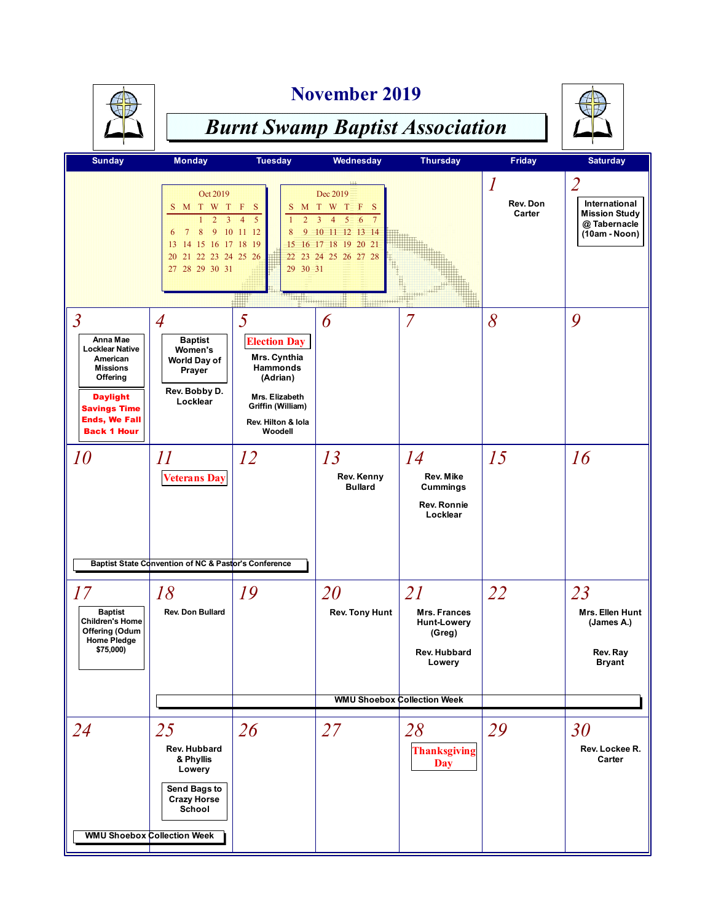

## **November 2019**



| <b>Sunday</b>                                                                                                                                                                           | <b>Monday</b>                                                                                                                   | <b>Tuesday</b>                                                                                                                           | Wednesday                                                                                                                            | <b>Thursday</b>                                                                     | <b>Friday</b>                          | <b>Saturday</b>                                                                           |
|-----------------------------------------------------------------------------------------------------------------------------------------------------------------------------------------|---------------------------------------------------------------------------------------------------------------------------------|------------------------------------------------------------------------------------------------------------------------------------------|--------------------------------------------------------------------------------------------------------------------------------------|-------------------------------------------------------------------------------------|----------------------------------------|-------------------------------------------------------------------------------------------|
|                                                                                                                                                                                         | Oct 2019<br>S M T W T F S<br>1 2 3 4 5<br>6 7 8 9 10 11 12<br>13 14 15 16 17 18 19<br>20 21 22 23 24 25 26<br>27 28 29 30 31    | S<br>$\overline{2}$<br>8<br>29 30 31                                                                                                     | Dec 2019<br>M T W T F S<br>$3 \quad 4 \quad 5$<br>6 <sup>1</sup><br>9 10 11 12 13 14<br>15 16 17 18 19 20 21<br>22 23 24 25 26 27 28 |                                                                                     | $\boldsymbol{l}$<br>Rev. Don<br>Carter | $\overline{2}$<br>International<br><b>Mission Study</b><br>@Tabernacle<br>$(10am - Noon)$ |
| $\overline{3}$<br>Anna Mae<br><b>Locklear Native</b><br>American<br><b>Missions</b><br>Offering<br><b>Daylight</b><br><b>Savings Time</b><br><b>Ends, We Fall</b><br><b>Back 1 Hour</b> | $\overline{A}$<br><b>Baptist</b><br>Women's<br>World Day of<br>Prayer<br>Rev. Bobby D.<br>Locklear                              | 5<br><b>Election Day</b><br>Mrs. Cynthia<br>Hammonds<br>(Adrian)<br>Mrs. Elizabeth<br>Griffin (William)<br>Rev. Hilton & Iola<br>Woodell | 6                                                                                                                                    | 7                                                                                   | 8                                      | 9                                                                                         |
| 10                                                                                                                                                                                      | II<br><b>Veterans Day</b><br>Baptist State Convention of NC & Pastor's Conference                                               | 12                                                                                                                                       | 13<br>Rev. Kenny<br><b>Bullard</b>                                                                                                   | 14<br>Rev. Mike<br><b>Cummings</b><br><b>Rev. Ronnie</b><br>Locklear                | 15                                     | 16                                                                                        |
| 17<br><b>Baptist</b><br><b>Children's Home</b><br>Offering (Odum<br><b>Home Pledge</b><br>\$75,000)                                                                                     | 18<br><b>Rev. Don Bullard</b>                                                                                                   | 19                                                                                                                                       | 20<br><b>Rev. Tony Hunt</b>                                                                                                          | <i>21</i><br>Mrs. Frances<br><b>Hunt-Lowery</b><br>(Greg)<br>Rev. Hubbard<br>Lowery | 22                                     | 23<br>Mrs. Ellen Hunt<br>(James A.)<br>Rev. Ray<br><b>Bryant</b>                          |
|                                                                                                                                                                                         |                                                                                                                                 |                                                                                                                                          |                                                                                                                                      | <b>WMU Shoebox Collection Week</b>                                                  |                                        |                                                                                           |
| 24                                                                                                                                                                                      | 25<br>Rev. Hubbard<br>& Phyllis<br>Lowery<br>Send Bags to<br><b>Crazy Horse</b><br>School<br><b>WMU Shoebox Collection Week</b> | 26                                                                                                                                       | 27                                                                                                                                   | 28<br>Thanksgiving<br><b>Day</b>                                                    | 29                                     | 30<br>Rev. Lockee R.<br>Carter                                                            |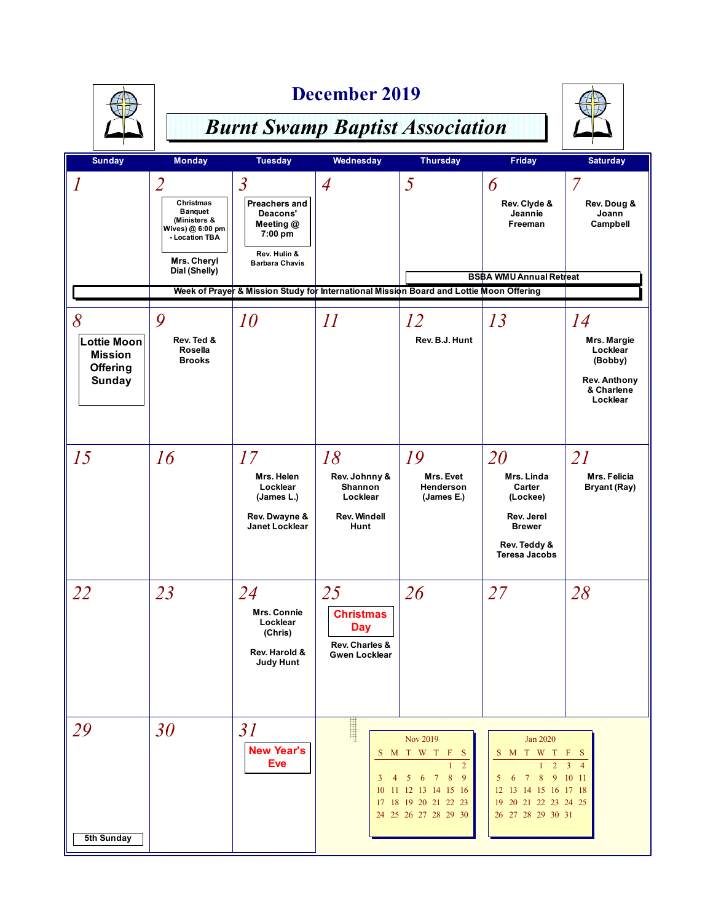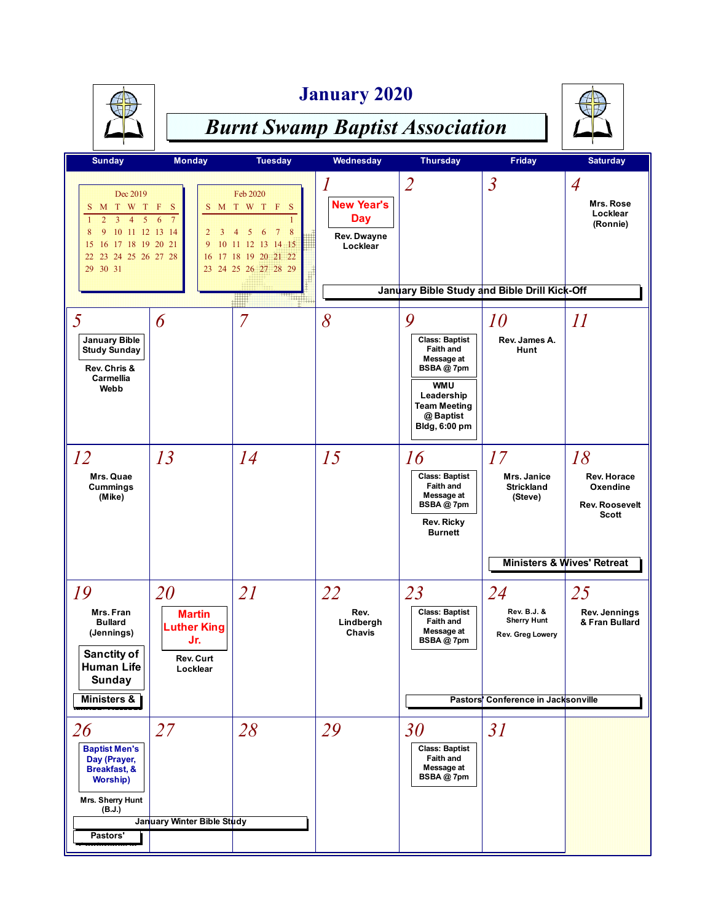

## **January 2020**



| <b>Sunday</b>                                                                                                                                                                                           | <b>Monday</b>                                                                    | <b>Tuesday</b>                                                                                                                                    | Wednesday                                                       | Thursday                                                                                                                                                  | <b>Friday</b>                                                                                      | <b>Saturday</b>                                                                                                        |
|---------------------------------------------------------------------------------------------------------------------------------------------------------------------------------------------------------|----------------------------------------------------------------------------------|---------------------------------------------------------------------------------------------------------------------------------------------------|-----------------------------------------------------------------|-----------------------------------------------------------------------------------------------------------------------------------------------------------|----------------------------------------------------------------------------------------------------|------------------------------------------------------------------------------------------------------------------------|
| Dec 2019<br>M T W T F<br>S<br>$\overline{2}$<br>$\overline{3}$<br>$\overline{4}$<br>$\mathfrak{s}$<br>$\mathbf{I}$<br>9 10 11 12 13 14<br>8<br>15 16 17 18 19 20 21<br>22 23 24 25 26 27 28<br>29 30 31 | <sub>S</sub><br>S<br>$6\overline{6}$<br>$\overline{2}$<br>3                      | Feb 2020<br>M T W T F S<br>8<br>5 <sup>5</sup><br>$\overline{7}$<br>4<br>6<br>9 10 11 12 13 14 15<br>16 17 18 19 20 21 22<br>23 24 25 26 27 28 29 | 1<br><b>New Year's</b><br><b>Day</b><br>Rev. Dwayne<br>Locklear | $\overline{2}$<br>January Bible Study and Bible Drill Kick-Off                                                                                            | $\overline{3}$                                                                                     | $\overline{A}$<br>Mrs. Rose<br>Locklear<br>(Ronnie)                                                                    |
|                                                                                                                                                                                                         |                                                                                  |                                                                                                                                                   |                                                                 |                                                                                                                                                           |                                                                                                    |                                                                                                                        |
| 5<br>January Bible<br><b>Study Sunday</b><br>Rev. Chris &<br>Carmellia<br>Webb                                                                                                                          | 6                                                                                | 7                                                                                                                                                 | 8                                                               | 9<br><b>Class: Baptist</b><br><b>Faith and</b><br>Message at<br>BSBA@7pm<br><b>WMU</b><br>Leadership<br><b>Team Meeting</b><br>@ Baptist<br>Bldg, 6:00 pm | 10<br>Rev. James A.<br>Hunt                                                                        | $\mathcal{U}% =\mathcal{U}(\mathcal{U})=\mathcal{U}(\mathcal{U})=\mathcal{U}(\mathcal{U})$                             |
| 12<br>Mrs. Quae<br><b>Cummings</b><br>(Mike)                                                                                                                                                            | 13                                                                               | 14                                                                                                                                                | 15                                                              | 16<br><b>Class: Baptist</b><br><b>Faith and</b><br>Message at<br>BSBA@7pm<br>Rev. Ricky<br><b>Burnett</b>                                                 | 17<br>Mrs. Janice<br><b>Strickland</b><br>(Steve)                                                  | 18<br><b>Rev. Horace</b><br>Oxendine<br><b>Rev. Roosevelt</b><br><b>Scott</b><br><b>Ministers &amp; Wives' Retreat</b> |
| 19<br>Mrs. Fran<br><b>Bullard</b><br>(Jennings)<br>Sanctity of<br>Human Life<br><b>Sunday</b><br><b>Ministers &amp;</b>                                                                                 | <i>20</i><br><b>Martin</b><br><b>Luther King</b><br>Jr.<br>Rev. Curt<br>Locklear | 21                                                                                                                                                | 22<br>Rev.<br>Lindbergh<br>Chavis                               | 23<br><b>Class: Baptist</b><br><b>Faith and</b><br>Message at<br>BSBA@7pm                                                                                 | 24<br>Rev. B.J. &<br><b>Sherry Hunt</b><br>Rev. Greg Lowery<br>Pastors' Conference in Jacksonville | 25<br>Rev. Jennings<br>& Fran Bullard                                                                                  |
| 26<br><b>Baptist Men's</b><br>Day (Prayer,<br>Breakfast, &<br><b>Worship)</b><br>Mrs. Sherry Hunt<br>(B.J.)<br>Pastors'                                                                                 | 27<br>January Winter Bible Study                                                 | 28                                                                                                                                                | 29                                                              | 30<br><b>Class: Baptist</b><br><b>Faith and</b><br>Message at<br>BSBA@7pm                                                                                 | 31                                                                                                 |                                                                                                                        |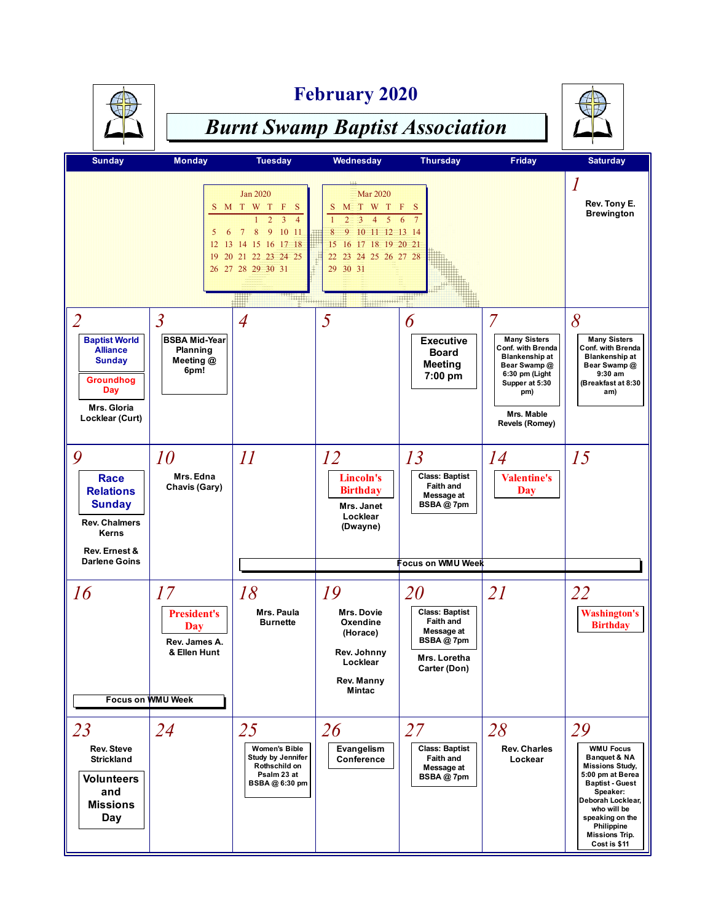

#### **February 2020**



| <b>Sunday</b>                                                                                                                           | <b>Monday</b>                                                                         | <b>Tuesday</b>                                                                                                                                                      | Wednesday                                                                                                                                                            | <b>Thursday</b>                                                                                           | <b>Friday</b>                                                                                                                                                     | <b>Saturday</b>                                                                                                                                                                                                                          |
|-----------------------------------------------------------------------------------------------------------------------------------------|---------------------------------------------------------------------------------------|---------------------------------------------------------------------------------------------------------------------------------------------------------------------|----------------------------------------------------------------------------------------------------------------------------------------------------------------------|-----------------------------------------------------------------------------------------------------------|-------------------------------------------------------------------------------------------------------------------------------------------------------------------|------------------------------------------------------------------------------------------------------------------------------------------------------------------------------------------------------------------------------------------|
|                                                                                                                                         | 5<br>6<br>12 <sup>2</sup><br>19                                                       | <b>Jan 2020</b><br>S M T W T F<br>$\overline{3}$<br>$\overline{2}$<br>8<br>9 10 11<br>$\overline{7}$<br>13 14 15 16 17 18<br>20 21 22 23 24 25<br>26 27 28 29 30 31 | Mar 2020<br>M T W T F S<br>S.<br>$\overline{2}$<br>$\overline{3}$<br>$4\quad 5$<br>9 10 11 12 13 14<br>8<br>15 16 17 18 19 20 21<br>22 23 24 25 26 27 28<br>29 30 31 | $6\quad 7$                                                                                                |                                                                                                                                                                   | Rev. Tony E.<br><b>Brewington</b>                                                                                                                                                                                                        |
| $\overline{2}$<br><b>Baptist World</b><br><b>Alliance</b><br><b>Sunday</b><br><b>Groundhog</b><br>Day<br>Mrs. Gloria<br>Locklear (Curt) | $\overline{3}$<br><b>BSBA Mid-Year</b><br>Planning<br>Meeting @<br>6pm!               | $\overline{A}$                                                                                                                                                      | 5                                                                                                                                                                    | 6<br><b>Executive</b><br><b>Board</b><br><b>Meeting</b><br>7:00 pm                                        | 7<br><b>Many Sisters</b><br>Conf. with Brenda<br><b>Blankenship at</b><br>Bear Swamp @<br>6:30 pm (Light<br>Supper at 5:30<br>pm)<br>Mrs. Mable<br>Revels (Romey) | 8<br><b>Many Sisters</b><br>Conf. with Brenda<br><b>Blankenship at</b><br>Bear Swamp @<br>9:30 am<br>(Breakfast at 8:30<br>am)                                                                                                           |
| 9<br><b>Race</b><br><b>Relations</b><br><b>Sunday</b><br><b>Rev. Chalmers</b><br>Kerns<br>Rev. Ernest &<br><b>Darlene Goins</b>         | 10<br>Mrs. Edna<br>Chavis (Gary)                                                      | II                                                                                                                                                                  | 12<br>Lincoln's<br><b>Birthday</b><br>Mrs. Janet<br>Locklear<br>(Dwayne)                                                                                             | 13<br><b>Class: Baptist</b><br><b>Faith and</b><br>Message at<br>BSBA@7pm<br>Focus on WMU Week            | 14<br><b>Valentine's</b><br><b>Day</b>                                                                                                                            | 15                                                                                                                                                                                                                                       |
| 16                                                                                                                                      | 17<br><b>President's</b><br>Day<br>Rev. James A.<br>& Ellen Hunt<br>Focus on WMU Week | 18<br>Mrs. Paula<br><b>Burnette</b>                                                                                                                                 | 19<br>Mrs. Dovie<br>Oxendine<br>(Horace)<br>Rev. Johnny<br>Locklear<br>Rev. Manny<br>Mintac                                                                          | 20<br><b>Class: Baptist</b><br><b>Faith and</b><br>Message at<br>BSBA@7pm<br>Mrs. Loretha<br>Carter (Don) | 21                                                                                                                                                                | 22<br><b>Washington's</b><br><b>Birthday</b>                                                                                                                                                                                             |
| 23<br><b>Rev. Steve</b><br><b>Strickland</b><br><b>Volunteers</b><br>and<br><b>Missions</b><br>Day                                      | 24                                                                                    | 25<br><b>Women's Bible</b><br>Study by Jennifer<br>Rothschild on<br>Psalm 23 at<br>BSBA@ 6:30 pm                                                                    | 26<br>Evangelism<br>Conference                                                                                                                                       | 27<br><b>Class: Baptist</b><br><b>Faith and</b><br>Message at<br>BSBA@7pm                                 | 28<br><b>Rev. Charles</b><br>Lockear                                                                                                                              | 29<br><b>WMU Focus</b><br>Banquet & NA<br><b>Missions Study,</b><br>5:00 pm at Berea<br><b>Baptist - Guest</b><br>Speaker:<br>Deborah Locklear,<br>who will be<br>speaking on the<br>Philippine<br><b>Missions Trip.</b><br>Cost is \$11 |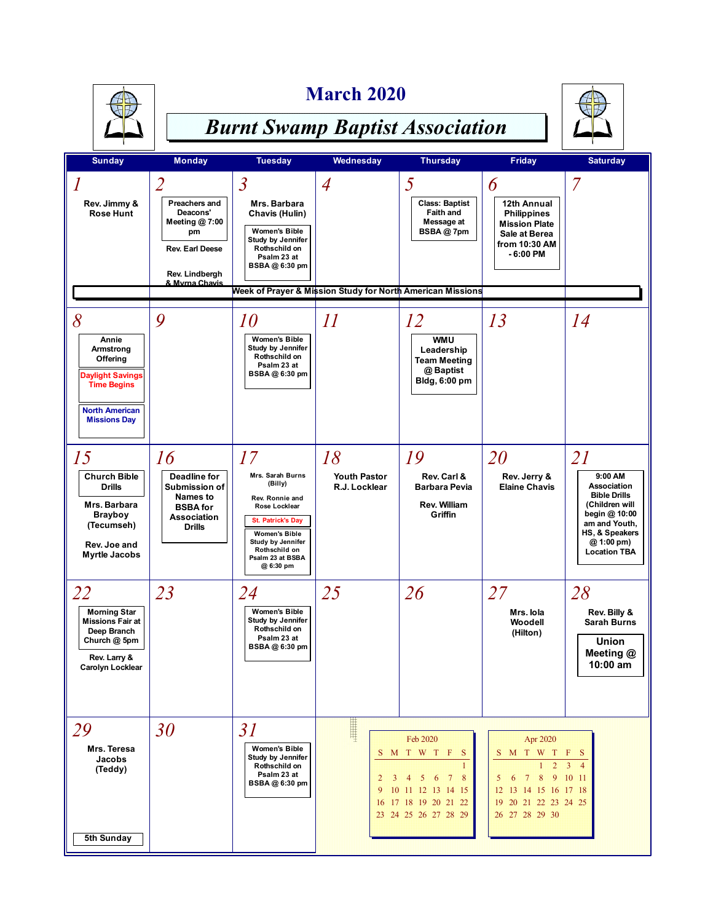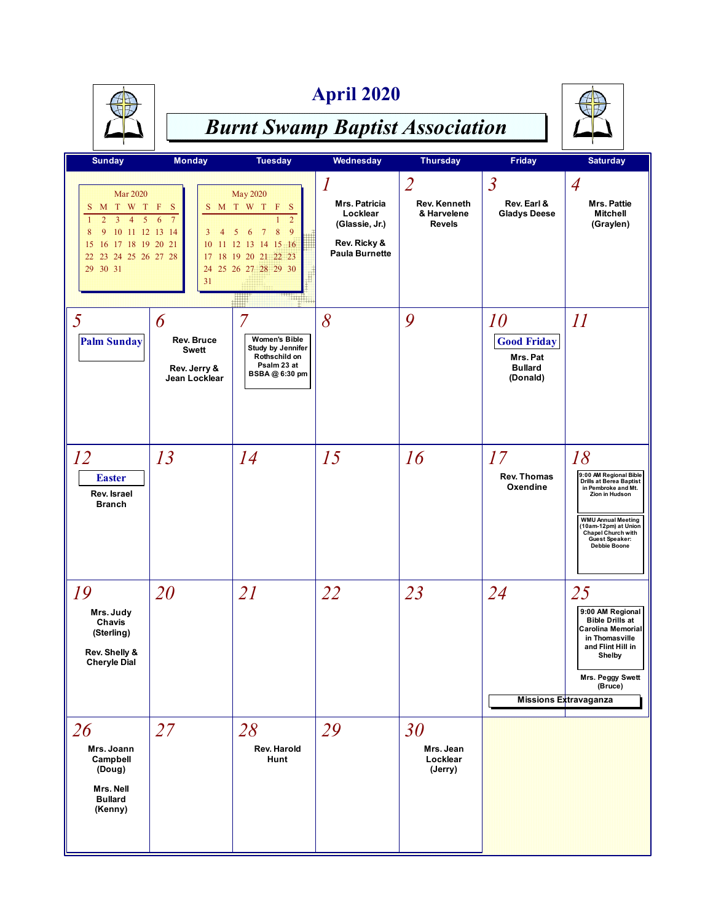

#### **April 2020**



| <b>Sunday</b>                                                                                                                                                                          | <b>Monday</b>                                                    | <b>Tuesday</b>                                                                                                                                                                                | Wednesday                                                                                 | <b>Thursday</b>                                                | Friday                                                                    | <b>Saturday</b>                                                                                                                                                                                                      |
|----------------------------------------------------------------------------------------------------------------------------------------------------------------------------------------|------------------------------------------------------------------|-----------------------------------------------------------------------------------------------------------------------------------------------------------------------------------------------|-------------------------------------------------------------------------------------------|----------------------------------------------------------------|---------------------------------------------------------------------------|----------------------------------------------------------------------------------------------------------------------------------------------------------------------------------------------------------------------|
|                                                                                                                                                                                        |                                                                  |                                                                                                                                                                                               |                                                                                           |                                                                |                                                                           |                                                                                                                                                                                                                      |
| <b>Mar 2020</b><br>S M T W T F<br>$\overline{2}$<br>$\overline{3}$<br>1<br>$\overline{4}$<br>5<br>9<br>10 11 12 13 14<br>8<br>15 16 17 18 19 20 21<br>22 23 24 25 26 27 28<br>29 30 31 | <sub>S</sub><br>6<br>$\mathbf{3}$<br>$\overline{4}$<br>31        | May 2020<br>S M T W T<br>$\vert \Gamma \vert$<br>$\overline{2}$<br>$\boldsymbol{8}$<br>9<br>5<br>6<br>$7\phantom{.0}$<br>10 11 12 13 14 15 16<br>17 18 19 20 21 22 23<br>24 25 26 27 28 29 30 | 1<br>Mrs. Patricia<br>Locklear<br>(Glassie, Jr.)<br>Rev. Ricky &<br><b>Paula Burnette</b> | $\overline{2}$<br>Rev. Kenneth<br>& Harvelene<br><b>Revels</b> | $\overline{\mathcal{S}}$<br>Rev. Earl &<br><b>Gladys Deese</b>            | $\overline{A}$<br>Mrs. Pattie<br><b>Mitchell</b><br>(Graylen)                                                                                                                                                        |
| 5<br><b>Palm Sunday</b>                                                                                                                                                                | 6<br>Rev. Bruce<br><b>Swett</b><br>Rev. Jerry &<br>Jean Locklear | 7<br><b>Women's Bible</b><br>Study by Jennifer<br>Rothschild on<br>Psalm 23 at<br>BSBA@ 6:30 pm                                                                                               | 8                                                                                         | 9                                                              | <i>10</i><br><b>Good Friday</b><br>Mrs. Pat<br><b>Bullard</b><br>(Donald) | II                                                                                                                                                                                                                   |
| 12<br><b>Easter</b><br>Rev. Israel<br><b>Branch</b>                                                                                                                                    | 13                                                               | 14                                                                                                                                                                                            | 15                                                                                        | 16                                                             | 17<br><b>Rev. Thomas</b><br>Oxendine                                      | 18<br>9:00 AM Regional Bible<br><b>Drills at Berea Baptist</b><br>in Pembroke and Mt.<br>Zion in Hudson<br><b>WMU Annual Meeting</b><br>(10am-12pm) at Union<br>Chapel Church with<br>Guest Speaker:<br>Debbie Boone |
| 19<br>Mrs. Judy<br>Chavis<br>(Sterling)<br>Rev. Shelly &<br><b>Cheryle Dial</b>                                                                                                        | 20                                                               | <i>21</i>                                                                                                                                                                                     | 22                                                                                        | 23                                                             | 24<br>Missions Extravaganza                                               | 25<br>9:00 AM Regional<br><b>Bible Drills at</b><br><b>Carolina Memorial</b><br>in Thomasville<br>and Flint Hill in<br>Shelby<br>Mrs. Peggy Swett<br>(Bruce)                                                         |
| 26<br>Mrs. Joann<br>Campbell<br>(Doug)<br>Mrs. Nell<br><b>Bullard</b><br>(Kenny)                                                                                                       | 27                                                               | 28<br>Rev. Harold<br>Hunt                                                                                                                                                                     | 29                                                                                        | 30<br>Mrs. Jean<br>Locklear<br>(Jerry)                         |                                                                           |                                                                                                                                                                                                                      |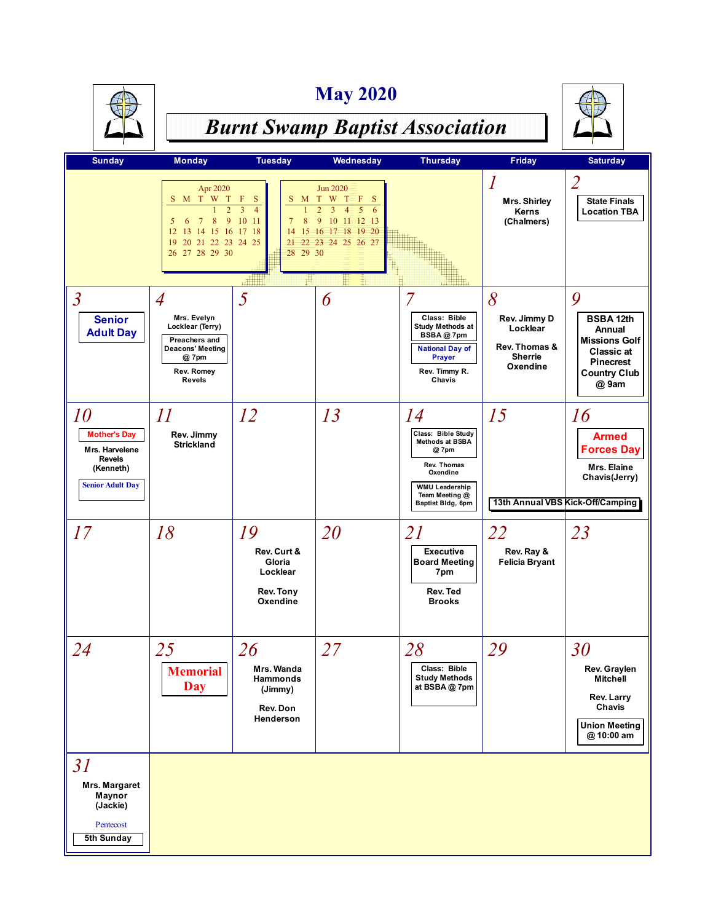

## **May 2020**



| <b>Sunday</b>                                                                                        | <b>Monday</b>                                                                                                                            | <b>Tuesday</b>                                                                                                     | Wednesday                                                                                                                                | <b>Thursday</b>                                                                                                                                       | Friday                                                                       | <b>Saturday</b>                                                                                                          |
|------------------------------------------------------------------------------------------------------|------------------------------------------------------------------------------------------------------------------------------------------|--------------------------------------------------------------------------------------------------------------------|------------------------------------------------------------------------------------------------------------------------------------------|-------------------------------------------------------------------------------------------------------------------------------------------------------|------------------------------------------------------------------------------|--------------------------------------------------------------------------------------------------------------------------|
|                                                                                                      | Apr 2020<br>S M T W T<br>$\overline{2}$<br>8<br>9<br>5<br>6<br>7<br>13 14 15 16 17 18<br>12<br>20 21 22 23 24 25<br>19<br>26 27 28 29 30 | $\mathbb F$<br>S<br>S<br>$\overline{3}$<br>$\overline{4}$<br>10 11<br>8<br>$7\phantom{.0}$<br>14<br>21<br>28 29 30 | <b>Jun 2020</b><br>M T W T F<br>S<br>$\overline{2}$<br>$\overline{4}$<br>3<br>9<br>10 11 12 13<br>15 16 17 18 19 20<br>22 23 24 25 26 27 |                                                                                                                                                       | Mrs. Shirley<br>Kerns<br>(Chalmers)                                          | $\overline{2}$<br><b>State Finals</b><br><b>Location TBA</b>                                                             |
| $\overline{3}$<br><b>Senior</b><br><b>Adult Day</b>                                                  | $\overline{A}$<br>Mrs. Evelyn<br>Locklear (Terry)<br>Preachers and<br><b>Deacons' Meeting</b><br>@ 7pm<br>Rev. Romey<br><b>Revels</b>    | 5                                                                                                                  | 6                                                                                                                                        | 7<br>Class: Bible<br><b>Study Methods at</b><br>BSBA@7pm<br><b>National Day of</b><br><b>Prayer</b><br>Rev. Timmy R.<br>Chavis                        | 8<br>Rev. Jimmy D<br>Locklear<br>Rev. Thomas &<br><b>Sherrie</b><br>Oxendine | 9<br><b>BSBA12th</b><br>Annual<br><b>Missions Golf</b><br>Classic at<br><b>Pinecrest</b><br><b>Country Club</b><br>@ 9am |
| 10<br><b>Mother's Day</b><br>Mrs. Harvelene<br><b>Revels</b><br>(Kenneth)<br><b>Senior Adult Day</b> | II<br>Rev. Jimmy<br><b>Strickland</b>                                                                                                    | <i>12</i>                                                                                                          | 13                                                                                                                                       | 14<br>Class: Bible Study<br><b>Methods at BSBA</b><br>@7pm<br>Rev. Thomas<br>Oxendine<br><b>WMU Leadership</b><br>Team Meeting @<br>Baptist Bldg, 6pm | 15                                                                           | 16<br><b>Armed</b><br><b>Forces Day</b><br>Mrs. Elaine<br>Chavis(Jerry)<br>13th Annual VBS Kick-Off/Camping              |
| 17                                                                                                   | 18                                                                                                                                       | 19<br>Rev. Curt &<br>Gloria<br>Locklear<br>Rev. Tony<br>Oxendine                                                   | 20                                                                                                                                       | 21<br><b>Executive</b><br><b>Board Meeting</b><br>7pm<br>Rev. Ted<br><b>Brooks</b>                                                                    | 22<br>Rev. Ray &<br><b>Felicia Bryant</b>                                    | 23                                                                                                                       |
| 24                                                                                                   | 25<br>Memorial<br><b>Day</b>                                                                                                             | 26<br>Mrs. Wanda<br>Hammonds<br>(Jimmy)<br>Rev. Don<br>Henderson                                                   | 27                                                                                                                                       | 28<br>Class: Bible<br><b>Study Methods</b><br>at BSBA@7pm                                                                                             | 29                                                                           | 30<br>Rev. Graylen<br>Mitchell<br>Rev. Larry<br>Chavis<br><b>Union Meeting</b><br>@10:00 am                              |
| 31<br>Mrs. Margaret<br>Maynor<br>(Jackie)<br>Pentecost<br>5th Sunday                                 |                                                                                                                                          |                                                                                                                    |                                                                                                                                          |                                                                                                                                                       |                                                                              |                                                                                                                          |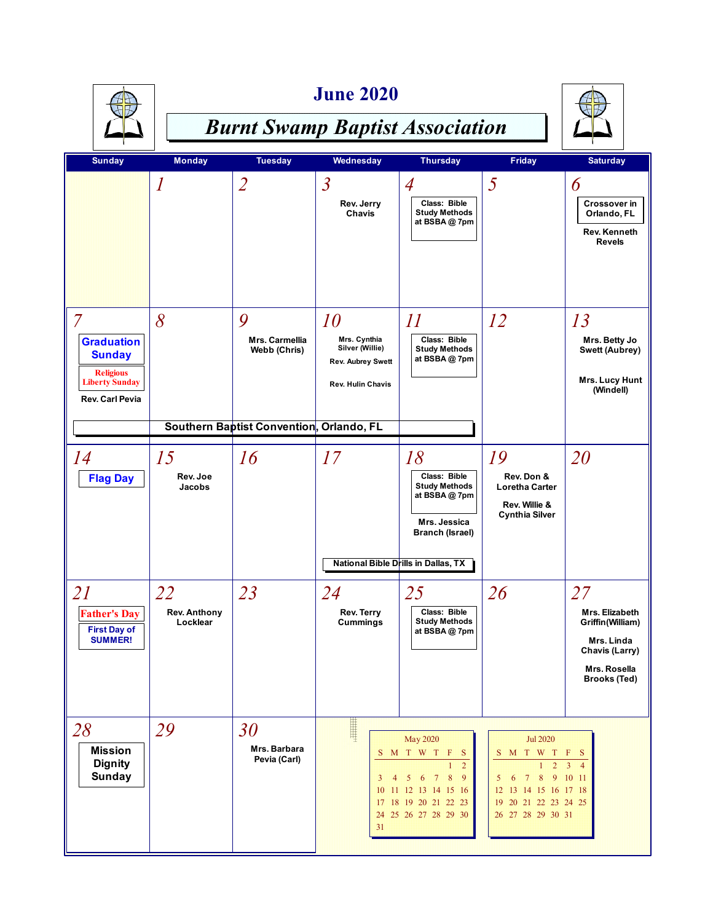

**June 2020**



| <b>Sunday</b>                                                                                                               | <b>Monday</b>                         | <b>Tuesday</b>                           | Wednesday                                                                              | <b>Thursday</b>                                                                                                                                            | <b>Friday</b>                                                                                                                                                                        | <b>Saturday</b>                                                                                                 |
|-----------------------------------------------------------------------------------------------------------------------------|---------------------------------------|------------------------------------------|----------------------------------------------------------------------------------------|------------------------------------------------------------------------------------------------------------------------------------------------------------|--------------------------------------------------------------------------------------------------------------------------------------------------------------------------------------|-----------------------------------------------------------------------------------------------------------------|
|                                                                                                                             | 1                                     | $\overline{2}$                           | $\overline{3}$<br>Rev. Jerry<br>Chavis                                                 | $\overline{4}$<br>Class: Bible<br><b>Study Methods</b><br>at BSBA@7pm                                                                                      | 5                                                                                                                                                                                    | 6<br><b>Crossover in</b><br>Orlando, FL<br>Rev. Kenneth<br><b>Revels</b>                                        |
| $\overline{7}$<br><b>Graduation</b><br><b>Sunday</b><br><b>Religious</b><br><b>Liberty Sunday</b><br><b>Rev. Carl Pevia</b> | 8                                     | 9<br>Mrs. Carmellia<br>Webb (Chris)      | 10<br>Mrs. Cynthia<br>Silver (Willie)<br>Rev. Aubrey Swett<br><b>Rev. Hulin Chavis</b> | $\varPi$<br>Class: Bible<br><b>Study Methods</b><br>at BSBA@7pm                                                                                            | 12                                                                                                                                                                                   | 13<br>Mrs. Betty Jo<br>Swett (Aubrey)<br>Mrs. Lucy Hunt<br>(Windell)                                            |
|                                                                                                                             |                                       | Southern Baptist Convention, Orlando, FL |                                                                                        |                                                                                                                                                            |                                                                                                                                                                                      |                                                                                                                 |
| 14<br><b>Flag Day</b>                                                                                                       | 15<br>Rev. Joe<br><b>Jacobs</b>       | 16                                       | 17                                                                                     | 18<br>Class: Bible<br><b>Study Methods</b><br>at BSBA@7pm<br>Mrs. Jessica<br><b>Branch (Israel)</b><br>National Bible Drills in Dallas, TX                 | 19<br>Rev. Don &<br><b>Loretha Carter</b><br>Rev. Willie &<br><b>Cynthia Silver</b>                                                                                                  | 20                                                                                                              |
| 21<br><b>Father's Day</b><br><b>First Day of</b><br><b>SUMMER!</b>                                                          | 22<br><b>Rev. Anthony</b><br>Locklear | 23                                       | 24<br><b>Rev. Terry</b><br>Cummings                                                    | 25<br>Class: Bible<br><b>Study Methods</b><br>at BSBA @ 7pm                                                                                                | 26                                                                                                                                                                                   | 27<br>Mrs. Elizabeth<br>Griffin(William)<br>Mrs. Linda<br>Chavis (Larry)<br>Mrs. Rosella<br><b>Brooks (Ted)</b> |
| 28<br><b>Mission</b><br><b>Dignity</b><br><b>Sunday</b>                                                                     | 29                                    | 30<br>Mrs. Barbara<br>Pevia (Carl)       | 3<br>4<br>10 <sup>10</sup><br>31                                                       | May 2020<br>S M T W T F<br>-S<br>$\overline{2}$<br>$8\phantom{.}$<br>9<br>5<br>6<br>7<br>11 12 13 14 15 16<br>17 18 19 20 21 22 23<br>24 25 26 27 28 29 30 | <b>Jul 2020</b><br>S M T W T F S<br>$\overline{2}$<br>$\mathbf{I}$<br>8<br>9<br>$7\phantom{.0}$<br>6<br>5<br>12<br>13 14 15 16 17 18<br>20 21 22 23 24 25<br>19<br>26 27 28 29 30 31 | 3 <sup>4</sup><br>10 11                                                                                         |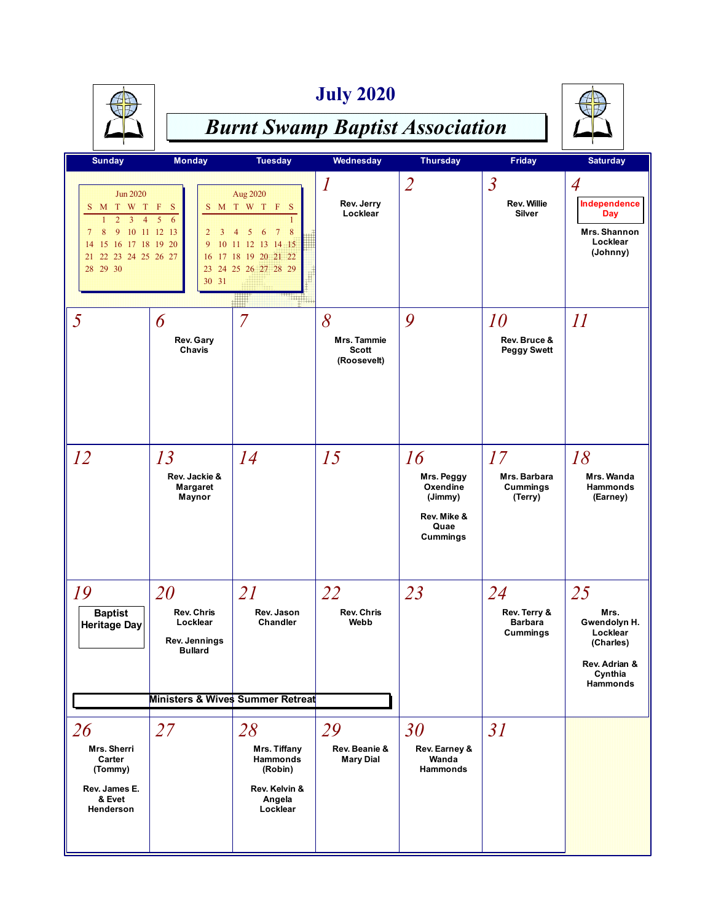

#### **July 2020**



|                                                                                                                                                                             |                                                                                                     |                                                                                                                                                   |                                            |                                                                                   | Friday                                                          | <b>Saturday</b>                                                                             |
|-----------------------------------------------------------------------------------------------------------------------------------------------------------------------------|-----------------------------------------------------------------------------------------------------|---------------------------------------------------------------------------------------------------------------------------------------------------|--------------------------------------------|-----------------------------------------------------------------------------------|-----------------------------------------------------------------|---------------------------------------------------------------------------------------------|
| <b>Sunday</b>                                                                                                                                                               | <b>Monday</b>                                                                                       | <b>Tuesday</b>                                                                                                                                    | Wednesday                                  | <b>Thursday</b>                                                                   |                                                                 |                                                                                             |
| Jun 2020<br>S M T W T F<br>$\overline{2}$<br>$\overline{3}$<br>$\overline{4}$<br>1<br>8<br>9<br>$7\phantom{.0}$<br>14 15 16 17 18 19 20<br>21 22 23 24 25 26 27<br>28 29 30 | <sub>S</sub><br>5<br>10 11 12 13<br>$\overline{2}$<br>$\mathbf{3}$<br>9<br>30 31                    | Aug 2020<br>S M T W T F S<br>8<br>5 <sup>5</sup><br>6<br>$\overline{7}$<br>4<br>10 11 12 13 14 15<br>16 17 18 19 20 21 22<br>23 24 25 26 27 28 29 | $\boldsymbol{l}$<br>Rev. Jerry<br>Locklear | $\overline{2}$                                                                    | $\overline{\mathcal{S}}$<br><b>Rev. Willie</b><br><b>Silver</b> | $\overline{A}$<br>Independence<br><b>Day</b><br>Mrs. Shannon<br>Locklear<br>(Johnny)        |
| 5                                                                                                                                                                           | 6<br>Rev. Gary<br>Chavis                                                                            | 7                                                                                                                                                 | 8<br>Mrs. Tammie<br>Scott<br>(Roosevelt)   | 9                                                                                 | 10<br>Rev. Bruce &<br><b>Peggy Swett</b>                        | II                                                                                          |
| <i>12</i>                                                                                                                                                                   | 13<br>Rev. Jackie &<br><b>Margaret</b><br>Maynor                                                    | 14                                                                                                                                                | 15                                         | 16<br>Mrs. Peggy<br>Oxendine<br>(Jimmy)<br>Rev. Mike &<br>Quae<br><b>Cummings</b> | 17<br>Mrs. Barbara<br><b>Cummings</b><br>(Terry)                | 18<br>Mrs. Wanda<br>Hammonds<br>(Earney)                                                    |
| 19<br><b>Baptist</b><br><b>Heritage Day</b>                                                                                                                                 | 20<br>Rev. Chris<br>Locklear<br>Rev. Jennings<br><b>Bullard</b><br>Ministers & Wives Summer Retreat | <i>21</i><br>Rev. Jason<br>Chandler                                                                                                               | 22<br><b>Rev. Chris</b><br>Webb            | 23                                                                                | 24<br>Rev. Terry &<br><b>Barbara</b><br>Cummings                | 25<br>Mrs.<br>Gwendolyn H.<br>Locklear<br>(Charles)<br>Rev. Adrian &<br>Cynthia<br>Hammonds |
|                                                                                                                                                                             |                                                                                                     |                                                                                                                                                   |                                            |                                                                                   |                                                                 |                                                                                             |
| 26<br>Mrs. Sherri<br>Carter<br>(Tommy)<br>Rev. James E.<br>& Evet<br>Henderson                                                                                              | 27                                                                                                  | 28<br>Mrs. Tiffany<br>Hammonds<br>(Robin)<br>Rev. Kelvin &<br>Angela<br>Locklear                                                                  | 29<br>Rev. Beanie &<br><b>Mary Dial</b>    | 30<br>Rev. Earney &<br>Wanda<br>Hammonds                                          | 31                                                              |                                                                                             |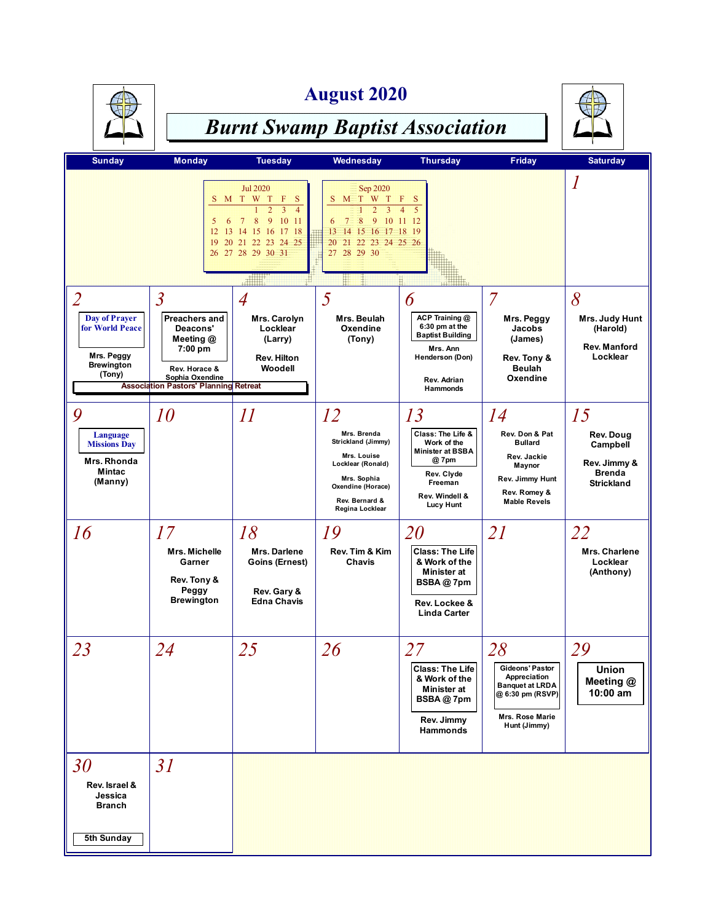

#### **August 2020**





| <b>Sunday</b>                                                                             | <b>Monday</b>                                                                                                                                                       | <b>Tuesday</b>                                                                                                                                                                                     | Wednesday                                                                                                                                                                | <b>Thursday</b>                                                                                                                    | <b>Friday</b>                                                                                                             | <b>Saturday</b>                                                                   |
|-------------------------------------------------------------------------------------------|---------------------------------------------------------------------------------------------------------------------------------------------------------------------|----------------------------------------------------------------------------------------------------------------------------------------------------------------------------------------------------|--------------------------------------------------------------------------------------------------------------------------------------------------------------------------|------------------------------------------------------------------------------------------------------------------------------------|---------------------------------------------------------------------------------------------------------------------------|-----------------------------------------------------------------------------------|
|                                                                                           | S<br>5<br>6<br>12<br>13<br>19                                                                                                                                       | <b>Jul 2020</b><br>M T W T<br>$\mathbf F$<br>S<br>$\overline{3}$<br>$\overline{2}$<br>$\overline{4}$<br>9<br>10<br>8<br>$\tau$<br>- 11<br>14 15 16 17 18<br>20 21 22 23 24 25<br>26 27 28 29 30 31 | Sep 2020<br>M T W T<br>S<br>$\overline{2}$<br>$\overline{3}$<br>8<br>9<br>7<br>10 <sup>°</sup><br>6<br>15 16 17 18 19<br>13<br>14<br>20 21 22 23 24 25 26<br>27 28 29 30 | $\mathbb F$<br>-S<br>$\overline{4}$<br>$\overline{5}$<br>$11 \t12$                                                                 |                                                                                                                           | 1                                                                                 |
| 2<br><b>Day of Prayer</b><br>for World Peace<br>Mrs. Peggy<br><b>Brewington</b><br>(Tony) | $\overline{\mathcal{S}}$<br>Preachers and<br>Deacons'<br>Meeting $@$<br>7:00 pm<br>Rev. Horace &<br>Sophia Oxendine<br><b>Association Pastors' Planning Retreat</b> | $\overline{A}$<br>Mrs. Carolyn<br>Locklear<br>(Larry)<br>Rev. Hilton<br>Woodell                                                                                                                    | 5<br>Mrs. Beulah<br>Oxendine<br>(Tony)                                                                                                                                   | 6<br>ACP Training @<br>6:30 pm at the<br><b>Baptist Building</b><br>Mrs. Ann<br>Henderson (Don)<br>Rev. Adrian<br>Hammonds         | $\overline{7}$<br>Mrs. Peggy<br>Jacobs<br>(James)<br>Rev. Tony &<br>Beulah<br>Oxendine                                    | 8<br>Mrs. Judy Hunt<br>(Harold)<br>Rev. Manford<br>Locklear                       |
| 9<br>Language<br><b>Missions Day</b><br>Mrs. Rhonda<br><b>Mintac</b><br>(Manny)           | <i>10</i>                                                                                                                                                           | II                                                                                                                                                                                                 | 12<br>Mrs. Brenda<br>Strickland (Jimmy)<br>Mrs. Louise<br>Locklear (Ronald)<br>Mrs. Sophia<br>Oxendine (Horace)<br>Rev. Bernard &<br>Regina Locklear                     | 13<br>Class: The Life &<br>Work of the<br><b>Minister at BSBA</b><br>@ 7pm<br>Rev. Clyde<br>Freeman<br>Rev. Windell &<br>Lucy Hunt | 14<br>Rev. Don & Pat<br><b>Bullard</b><br>Rev. Jackie<br>Maynor<br>Rev. Jimmy Hunt<br>Rev. Romey &<br><b>Mable Revels</b> | 15<br>Rev. Doug<br>Campbell<br>Rev. Jimmy &<br><b>Brenda</b><br><b>Strickland</b> |
| 16                                                                                        | 17<br>Mrs. Michelle<br>Garner<br>Rev. Tony &<br>Peggy<br><b>Brewington</b>                                                                                          | 18<br>Mrs. Darlene<br>Goins (Ernest)<br>Rev. Gary &<br><b>Edna Chavis</b>                                                                                                                          | 19<br>Rev. Tim & Kim<br>Chavis                                                                                                                                           | <i>20</i><br><b>Class: The Life</b><br>& Work of the<br>Minister at<br>BSBA@7pm<br>Rev. Lockee &<br><b>Linda Carter</b>            | 21                                                                                                                        | 22<br>Mrs. Charlene<br>Locklear<br>(Anthony)                                      |
| 23                                                                                        | 24                                                                                                                                                                  | 25                                                                                                                                                                                                 | 26                                                                                                                                                                       | 27<br><b>Class: The Life</b><br>& Work of the<br><b>Minister at</b><br>BSBA@7pm<br>Rev. Jimmy<br><b>Hammonds</b>                   | 28<br>Gideons' Pastor<br>Appreciation<br><b>Banquet at LRDA</b><br>@ 6:30 pm (RSVP)<br>Mrs. Rose Marie<br>Hunt (Jimmy)    | 29<br><b>Union</b><br>Meeting @<br>10:00 am                                       |
| 30<br>Rev. Israel &<br>Jessica<br><b>Branch</b><br>5th Sunday                             | 31                                                                                                                                                                  |                                                                                                                                                                                                    |                                                                                                                                                                          |                                                                                                                                    |                                                                                                                           |                                                                                   |